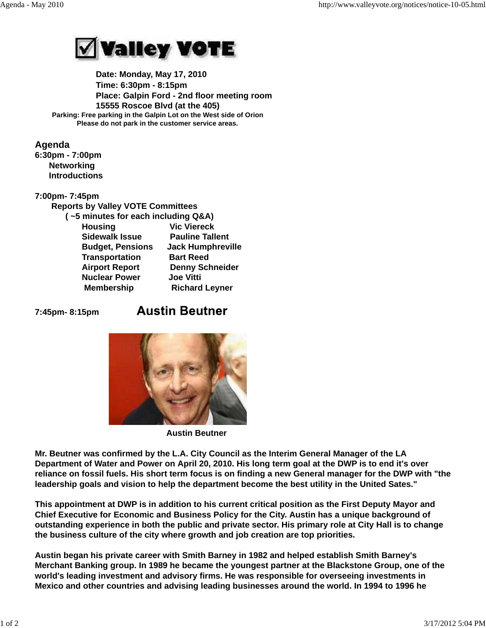

 **Date: Monday, May 17, 2010 Time: 6:30pm - 8:15pm Place: Galpin Ford - 2nd floor meeting room 15555 Roscoe Blvd (at the 405) Parking: Free parking in the Galpin Lot on the West side of Orion Please do not park in the customer service areas.**

## **Agenda**

**6:30pm - 7:00pm Networking Introductions**

## **7:00pm- 7:45pm**

 **Reports by Valley VOTE Committees ( ~5 minutes for each including Q&A) Housing Vic Viereck Sidewalk Issue Pauline Tallent Budget, Pensions Jack Humphreville Transportation Bart Reed Airport Report Denny Schneider Nuclear Power Joe Vitti Membership Richard Leyner** 

**7:45pm- 8:15pm** 

## **Austin Beutner**



 **Austin Beutner**

**Mr. Beutner was confirmed by the L.A. City Council as the Interim General Manager of the LA Department of Water and Power on April 20, 2010. His long term goal at the DWP is to end it's over reliance on fossil fuels. His short term focus is on finding a new General manager for the DWP with "the leadership goals and vision to help the department become the best utility in the United Sates."**

**This appointment at DWP is in addition to his current critical position as the First Deputy Mayor and Chief Executive for Economic and Business Policy for the City. Austin has a unique background of outstanding experience in both the public and private sector. His primary role at City Hall is to change the business culture of the city where growth and job creation are top priorities.**

**Austin began his private career with Smith Barney in 1982 and helped establish Smith Barney's Merchant Banking group. In 1989 he became the youngest partner at the Blackstone Group, one of the world's leading investment and advisory firms. He was responsible for overseeing investments in Mexico and other countries and advising leading businesses around the world. In 1994 to 1996 he**